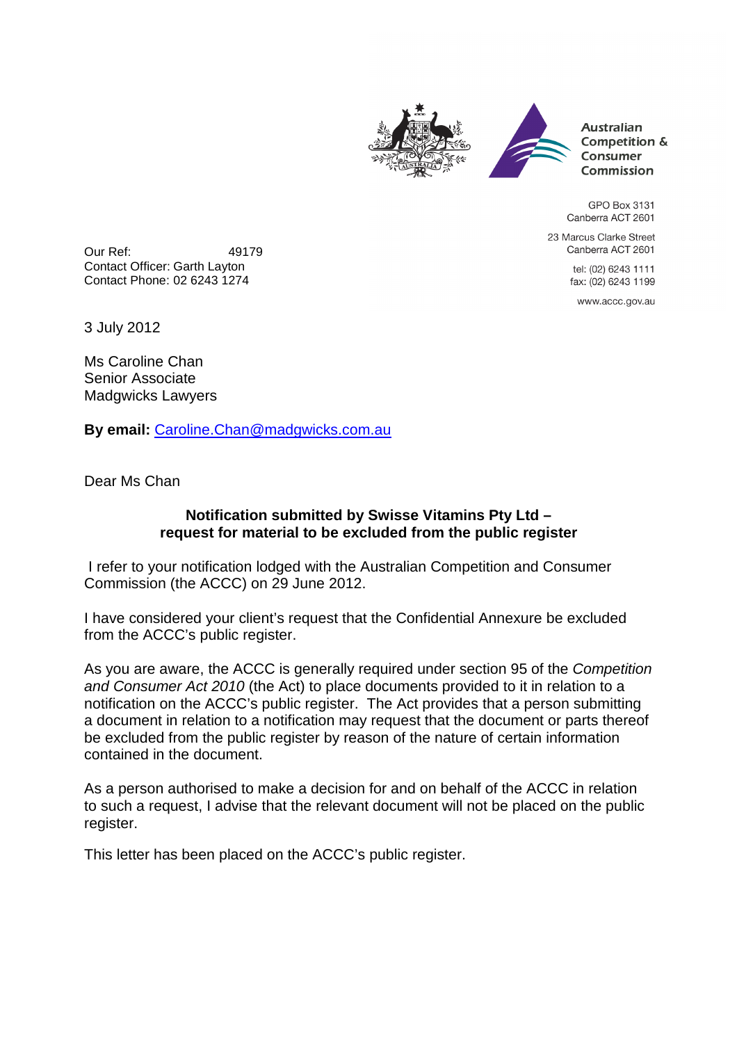



**Australian** Competition & Consumer Commission

GPO Box 3131 Canberra ACT 2601

23 Marcus Clarke Street Canberra ACT 2601

> tel: (02) 6243 1111 fax: (02) 6243 1199

www.accc.gov.au

Our Ref: 49179 Contact Officer: Garth Layton Contact Phone: 02 6243 1274

3 July 2012

Ms Caroline Chan Senior Associate Madgwicks Lawyers

**By email:** Caroline.Chan@madgwicks.com.au

Dear Ms Chan

## **Notification submitted by Swisse Vitamins Pty Ltd – request for material to be excluded from the public register**

 I refer to your notification lodged with the Australian Competition and Consumer Commission (the ACCC) on 29 June 2012.

I have considered your client's request that the Confidential Annexure be excluded from the ACCC's public register.

As you are aware, the ACCC is generally required under section 95 of the Competition and Consumer Act 2010 (the Act) to place documents provided to it in relation to a notification on the ACCC's public register. The Act provides that a person submitting a document in relation to a notification may request that the document or parts thereof be excluded from the public register by reason of the nature of certain information contained in the document.

As a person authorised to make a decision for and on behalf of the ACCC in relation to such a request, I advise that the relevant document will not be placed on the public register.

This letter has been placed on the ACCC's public register.